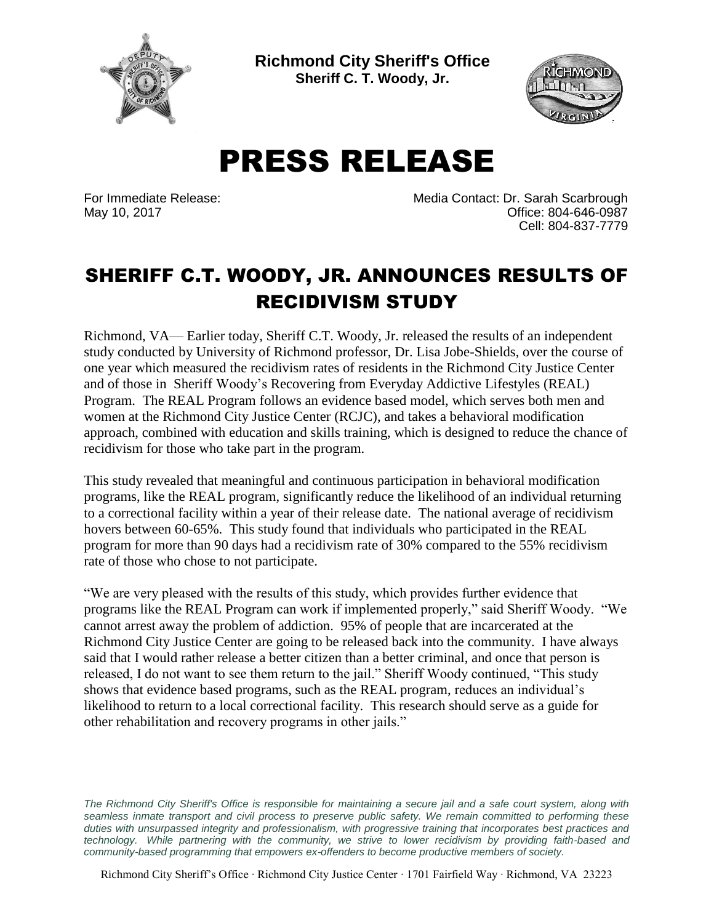

**Richmond City Sheriff's Office Sheriff C. T. Woody, Jr.**



PRESS RELEASE

For Immediate Release: Media Contact: Dr. Sarah Scarbrough May 10, 2017 **Office: 804-646-0987** Cell: 804-837-7779

## SHERIFF C.T. WOODY, JR. ANNOUNCES RESULTS OF RECIDIVISM STUDY

Richmond, VA— Earlier today, Sheriff C.T. Woody, Jr. released the results of an independent study conducted by University of Richmond professor, Dr. Lisa Jobe-Shields, over the course of one year which measured the recidivism rates of residents in the Richmond City Justice Center and of those in Sheriff Woody's Recovering from Everyday Addictive Lifestyles (REAL) Program. The REAL Program follows an evidence based model, which serves both men and women at the Richmond City Justice Center (RCJC), and takes a behavioral modification approach, combined with education and skills training, which is designed to reduce the chance of recidivism for those who take part in the program.

This study revealed that meaningful and continuous participation in behavioral modification programs, like the REAL program, significantly reduce the likelihood of an individual returning to a correctional facility within a year of their release date. The national average of recidivism hovers between 60-65%. This study found that individuals who participated in the REAL program for more than 90 days had a recidivism rate of 30% compared to the 55% recidivism rate of those who chose to not participate.

"We are very pleased with the results of this study, which provides further evidence that programs like the REAL Program can work if implemented properly," said Sheriff Woody. "We cannot arrest away the problem of addiction. 95% of people that are incarcerated at the Richmond City Justice Center are going to be released back into the community. I have always said that I would rather release a better citizen than a better criminal, and once that person is released, I do not want to see them return to the jail." Sheriff Woody continued, "This study shows that evidence based programs, such as the REAL program, reduces an individual's likelihood to return to a local correctional facility. This research should serve as a guide for other rehabilitation and recovery programs in other jails."

The Richmond City Sheriff's Office is responsible for maintaining a secure jail and a safe court system, along with *seamless inmate transport and civil process to preserve public safety. We remain committed to performing these duties with unsurpassed integrity and professionalism, with progressive training that incorporates best practices and technology. While partnering with the community, we strive to lower recidivism by providing faith-based and community-based programming that empowers ex-offenders to become productive members of society.*